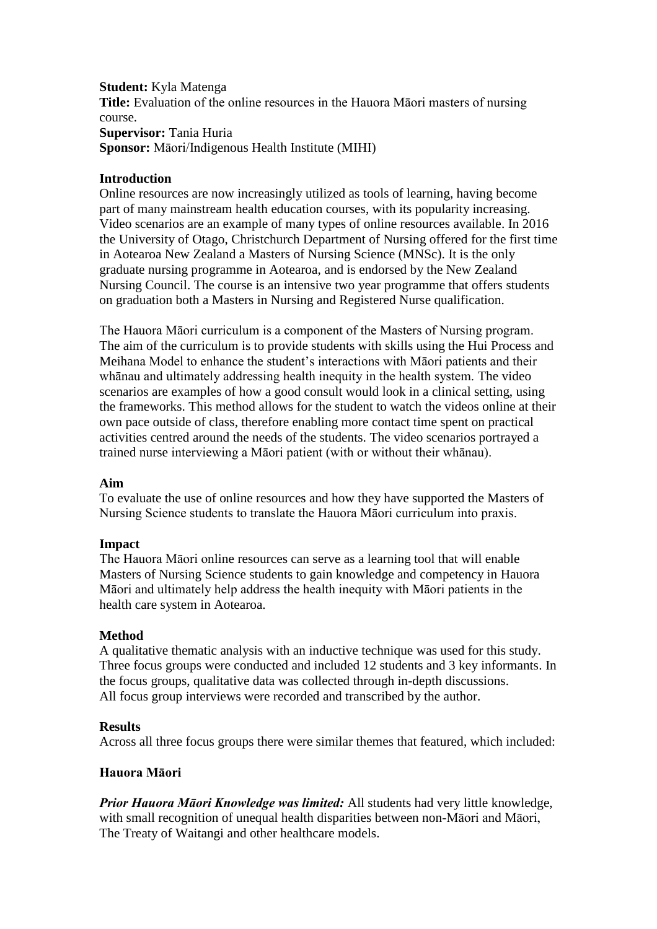#### **Student:** Kyla Matenga

**Title:** Evaluation of the online resources in the Hauora Māori masters of nursing course.

**Supervisor:** Tania Huria **Sponsor:** Māori/Indigenous Health Institute (MIHI)

## **Introduction**

Online resources are now increasingly utilized as tools of learning, having become part of many mainstream health education courses, with its popularity increasing. Video scenarios are an example of many types of online resources available. In 2016 the University of Otago, Christchurch Department of Nursing offered for the first time in Aotearoa New Zealand a Masters of Nursing Science (MNSc). It is the only graduate nursing programme in Aotearoa, and is endorsed by the New Zealand Nursing Council. The course is an intensive two year programme that offers students on graduation both a Masters in Nursing and Registered Nurse qualification.

The Hauora Māori curriculum is a component of the Masters of Nursing program. The aim of the curriculum is to provide students with skills using the Hui Process and Meihana Model to enhance the student's interactions with Māori patients and their whānau and ultimately addressing health inequity in the health system. The video scenarios are examples of how a good consult would look in a clinical setting, using the frameworks. This method allows for the student to watch the videos online at their own pace outside of class, therefore enabling more contact time spent on practical activities centred around the needs of the students. The video scenarios portrayed a trained nurse interviewing a Māori patient (with or without their whānau).

## **Aim**

To evaluate the use of online resources and how they have supported the Masters of Nursing Science students to translate the Hauora Māori curriculum into praxis.

## **Impact**

The Hauora Māori online resources can serve as a learning tool that will enable Masters of Nursing Science students to gain knowledge and competency in Hauora Māori and ultimately help address the health inequity with Māori patients in the health care system in Aotearoa.

## **Method**

A qualitative thematic analysis with an inductive technique was used for this study. Three focus groups were conducted and included 12 students and 3 key informants. In the focus groups, qualitative data was collected through in-depth discussions. All focus group interviews were recorded and transcribed by the author.

## **Results**

Across all three focus groups there were similar themes that featured, which included:

## **Hauora Māori**

*Prior Hauora Māori Knowledge was limited:* All students had very little knowledge, with small recognition of unequal health disparities between non-Māori and Māori, The Treaty of Waitangi and other healthcare models.